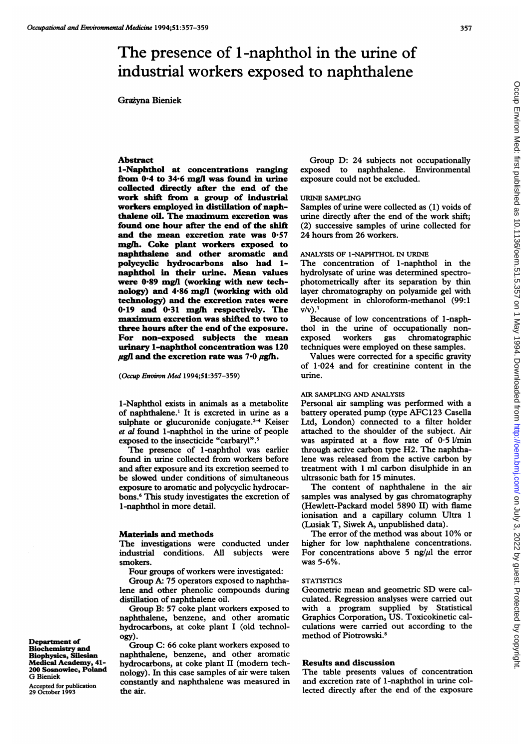# The presence of 1-naphthol in the urine of industrial workers exposed to naphthalene

Grazyna Bieniek

## Abstract

I-Naphthol at concentrations ranging from 0-4 to 34-6 mg/l was found in urine collected directly after the end of the work shift from a group of industrial workers employed in distillation of naphthalene oil. The maximum excretion was found one hour after the end of the shift and the mean excretion rate was  $0.57$ mglh. Coke plant workers exposed to naphthalene and other aromatic and polycyclic hydrocarbons also had 1 naphthol in their urine. Mean values were 0-89 mg/l (working with new technology) and 4-86 mg/l (working with old technology) and the excretion rates were 0.19 and 0.31 mg/h respectively. The maximum excretion was shifted to two to three hours after the end of the exposure. For non-exposed subjects the mean urinary 1-naphthol concentration was 120  $\mu$ g/l and the excretion rate was 7 $\cdot$ 0  $\mu$ g/h.

(Occup Environ Med 1994;51:357-359)

l-Naphthol exists in animals as a metabolite of naphthalene.' It is excreted in urine as a sulphate or glucuronide conjugate. $2-4$  Keiser et al found l-naphthol in the urine of people exposed to the insecticide "carbaryl".'

The presence of l-naphthol was earlier found in urine collected from workers before and after exposure and its excretion seemed to be slowed under conditions of simultaneous exposure to aromatic and polycyclic hydrocarbons.6 This study investigates the excretion of l-naphthol in more detail.

#### Materials and methods

The investigations were conducted under industrial conditions. All subjects were smokers.

Four groups of workers were investigated:

Group A: 75 operators exposed to naphthalene and other phenolic compounds during distillation of naphthalene oil.

Group B: 57 coke plant workers exposed to naphthalene, benzene, and other aromatic hydrocarbons, at coke plant <sup>I</sup> (old technology).

Group C: 66 coke plant workers exposed to naphthalene, benzene, and other aromatic hydrocarbons, at coke plant II (modem technology). In this case samples of air were taken constantly and naphthalene was measured in the air.

Group D: 24 subjects not occupationally exposed to naphthalene. Environmental exposure could not be excluded.

#### URINE SAMPLING

Samples of urine were collected as (1) voids of urine directly after the end of the work shift; (2) successive samples of urine collected for 24 hours from 26 workers.

#### ANALYSIS OF 1-NAPHTHOL IN URINE

The concentration of l-naphthol in the hydrolysate of urine was determined spectrophotometrically after its separation by thin layer chromatography on polyamide gel with development in chloroform-methanol (99:1  $V/v$ ).<sup>7</sup>

Because of low concentrations of 1-naphthol in the urine of occupationally nonexposed workers gas chromatographic techniques were employed on these samples.

Values were corrected for a specific gravity of 1-024 and for creatinine content in the urine.

### AIR SAMPLING AND ANALYSIS

Personal air sampling was performed with a battery operated pump (type AFC<sup>123</sup> Casella Ltd, London) connected to a filter holder attached to the shoulder of the subject. Air was aspirated at a flow rate of  $0.5$  l/min through active carbon type H2. The naphthalene was released from the active carbon by treatment with <sup>1</sup> ml carbon disulphide in an ultrasonic bath for 15 minutes.

The content of naphthalene in the air samples was analysed by gas chromatography (Hewlett-Packard model 5890 II) with flame ionisation and a capillary column Ultra <sup>1</sup> (Lusiak T, Siwek A, unpublished data).

The error of the method was about 10% or higher for low naphthalene concentrations. For concentrations above 5 ng/ $\mu$ l the error was 5-6%.

#### **STATISTICS**

Geometric mean and geometric SD were calculated. Regression analyses were carried out with a program supplied by Statistical Graphics Corporation, US. Toxicokinetic calculations were carried out according to the method of Piotrowski.<sup>8</sup>

## Results and discussion

The table presents values of concentration and excretion rate of l-naphthol in urine collected directly after the end of the exposure

Department of Biochemistry and Biophysics, Silesian Medical Academy, 41- 200 Sosnowiec, Poland G Bieniek

Accepted for publication 29 October 1993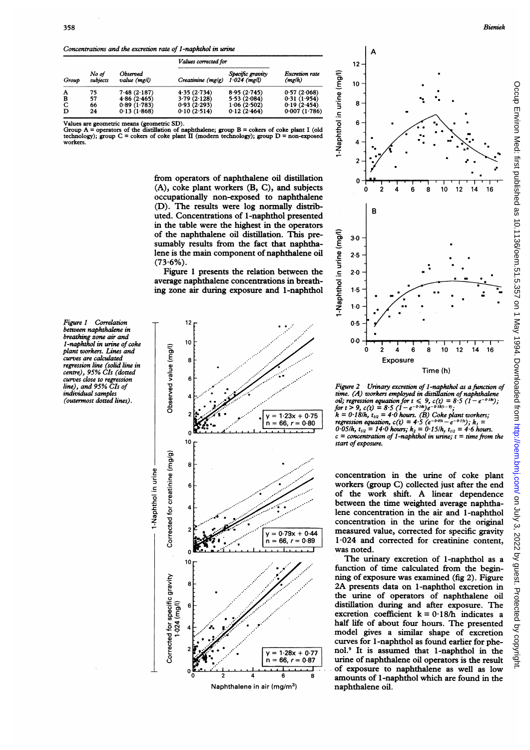Concentrations and the excretion rate of l-naphthol in urine

| Group | No of<br>subjects | Observed<br>value (mg/l) | Values corrected for   |                                    |                         |
|-------|-------------------|--------------------------|------------------------|------------------------------------|-------------------------|
|       |                   |                          | $C$ reatinine $(mg/g)$ | Specific gravity<br>$1.024$ (mg/l) | Excretion rate<br>(mgh) |
| A     | 75                | 7.48(2.187)              | 4.35(2.734)            | 8.95(2.745)                        | 0.57(2.068)             |
| в     | 57                | 4.86(2.465)              | 3.79(2.128)            | 5.53(2.084)                        | 0.31(1.954)             |
| C     | 66                | 0.89(1.783)              | 0.93(2.293)            | 1.06(2.502)                        | 0.19(2.454)             |
| D     | 24                | 0.13(1.868)              | 0.10(2.514)            | 0.12(2.464)                        | 0.007(1.786)            |

Values are geometric means (geometric SD).<br>Group A = operators of the distillation of naphthalene; group B = cokers of coke plant I (old<br>technology); group C = cokers of coke plant II (modern technology); group D = non-exp workers.

> from operators of naphthalene oil distillation (A), coke plant workers (B, C), and subjects occupationally non-exposed to naphthalene (D). The results were log normally distributed. Concentrations of 1-naphthol presented in the table were the highest in the operators of the naphthalene oil distillation. This presumably results from the fact that naphthalene is the main component of naphthalene oil  $(73.6\%)$ .

> Figure <sup>1</sup> presents the relation between the average naphthalene concentrations in breathing zone air during exposure and 1-naphthol

Figure 1 Correlation between naphthalene in breathing zone air and l-naphthol in urine of coke plant workers. Lines and curves are calculated regression line (solid line in centre), 95% CIs (dotted curves close to regression line), and 95% CIs of individual samples (outermost dotted lines).





Figure 2 Urinary excretion of l-naphthol as a function of time. (A) workers employed in distillation of naphthalene<br>oil; regression equation for  $t \le 9$ ,  $c(t) = 8.5$   $(1 - e^{-0.18t})$ ;<br>for  $t > 9$ ,  $c(t) = 8.5$   $(1 - e^{-0.18t})e^{-0.18(t-9)}$ ;  $k = 0.18/h$ ,  $t_{1/2} = 4.0$  hours. (B) Coke plant workers; regression equation,  $c(t) = 4.5 (e^{-0.05t} - e^{-0.15t})$ ;  $k_1 =$ <br>- 0.05/h,  $t_{1/2} = 14.0$  hours;  $k_2 = 0.15/h$ ,  $t_{1/2} = 4.6$  hours.  $c =$  concentration of 1-naphthol in urine;  $t =$  time from the start of exposure.

concentration in the urine of coke plant workers (group C) collected just after the end of the work shift. A linear dependence between the time weighted average naphthalene concentration in the air and 1-naphthol concentration in the urine for the original  $\frac{1}{0.79x + 0.44}$  measured value, corrected for specific gravity j 1-024 and corrected for creatinine content, was noted.

The urinary excretion of 1-naphthol as a function of time calculated from the beginning of exposure was examined (fig 2). Figure 2A presents data on 1-naphthol excretion in the urine of operators of naphthalene oil distillation during and after exposure. The excretion coefficient  $k = 0.18/h$  indicates a half life of about four hours. The presented model gives a similar shape of excretion curves for <sup>I</sup> -naphthol as found earlier for phenol.9 It is assumed that 1-naphthol in the  $= 1.28x + 0.77$  nol.<sup>9</sup> It is assumed that 1-naphthol in the<br>= 66, r = 0.87 urine of naphthalene oil operators is the result of exposure to naphthalene as well as low amounts of 1-naphthol which are found in the naphthalene oil.